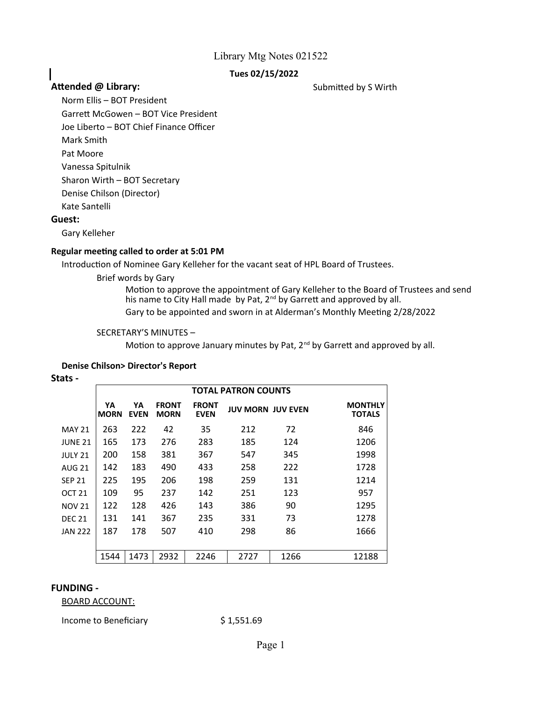## **Tues 02/15/2022**

## **Attended @ Library:** Submitted by S Wirth

Norm Ellis – BOT President

Garrett McGowen – BOT Vice President Joe Liberto – BOT Chief Finance Officer

Mark Smith

Pat Moore

Vanessa Spitulnik

Sharon Wirth – BOT Secretary

Denise Chilson (Director)

Kate Santelli

## **Guest:**

I

Gary Kelleher

## **Regular meeting called to order at 5:01 PM**

Introduction of Nominee Gary Kelleher for the vacant seat of HPL Board of Trustees.

Brief words by Gary

Gary to be appointed and sworn in at Alderman's Monthly Meeting 2/28/2022 Motion to approve the appointment of Gary Kelleher to the Board of Trustees and send his name to City Hall made by Pat, 2<sup>nd</sup> by Garrett and approved by all.

## SECRETARY'S MINUTES –

Motion to approve January minutes by Pat, 2<sup>nd</sup> by Garrett and approved by all.

## **Denise Chilson> Director's Report**

**Stats -**

|                   | <b>TOTAL PATRON COUNTS</b> |                   |                             |                             |                          |      |                                 |  |  |  |
|-------------------|----------------------------|-------------------|-----------------------------|-----------------------------|--------------------------|------|---------------------------------|--|--|--|
|                   | YA<br><b>MORN</b>          | YА<br><b>EVEN</b> | <b>FRONT</b><br><b>MORN</b> | <b>FRONT</b><br><b>EVEN</b> | <b>JUV MORN JUV EVEN</b> |      | <b>MONTHLY</b><br><b>TOTALS</b> |  |  |  |
| <b>MAY 21</b>     | 263                        | 222               | 42                          | 35                          | 212                      | 72   | 846                             |  |  |  |
| <b>JUNE 21</b>    | 165                        | 173               | 276                         | 283                         | 185                      | 124  | 1206                            |  |  |  |
| <b>JULY 21</b>    | 200                        | 158               | 381                         | 367                         | 547                      | 345  | 1998                            |  |  |  |
| <b>AUG 21</b>     | 142                        | 183               | 490                         | 433                         | 258                      | 222  | 1728                            |  |  |  |
| <b>SEP 21</b>     | 225                        | 195               | 206                         | 198                         | 259                      | 131  | 1214                            |  |  |  |
| OCT <sub>21</sub> | 109                        | 95                | 237                         | 142                         | 251                      | 123  | 957                             |  |  |  |
| <b>NOV 21</b>     | 122                        | 128               | 426                         | 143                         | 386                      | 90   | 1295                            |  |  |  |
| <b>DEC 21</b>     | 131                        | 141               | 367                         | 235                         | 331                      | 73   | 1278                            |  |  |  |
| <b>JAN 222</b>    | 187                        | 178               | 507                         | 410                         | 298                      | 86   | 1666                            |  |  |  |
|                   |                            |                   |                             |                             |                          |      |                                 |  |  |  |
|                   | 1544                       | 1473              | 2932                        | 2246                        | 2727                     | 1266 | 12188                           |  |  |  |

## **FUNDING -**

BOARD ACCOUNT:

Income to Beneficiary \$1,551.69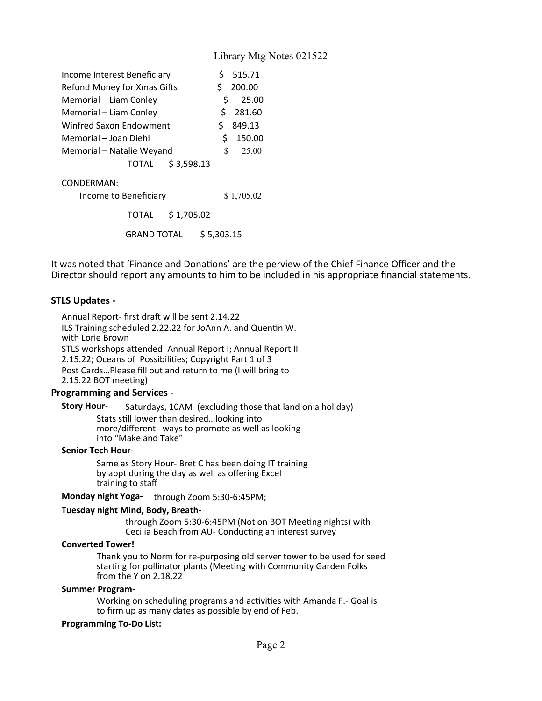| Income Interest Beneficiary | Ŝ. | 515.71                          |
|-----------------------------|----|---------------------------------|
| Refund Money for Xmas Gifts | Ś  | 200.00                          |
| Memorial - Liam Conley      | S. | 25.00                           |
| Memorial - Liam Conley      |    | \$281.60                        |
| Winfred Saxon Endowment     | S  | 849.13                          |
| Memorial - Joan Diehl       | Ŝ  | 150.00                          |
| Memorial - Natalie Weyand   |    | $\frac{\text{S}}{\text{25.00}}$ |
| TOTAL \$3,598.13            |    |                                 |

#### CONDERMAN:

| Income to Beneficiary | \$1,705.02             |
|-----------------------|------------------------|
| TOTAL \$1,705.02      |                        |
|                       | GRAND TOTAL \$5,303.15 |

It was noted that 'Finance and Donations' are the perview of the Chief Finance Officer and the Director should report any amounts to him to be included in his appropriate financial statements.

## **STLS Updates -**

Annual Report- first draft will be sent 2.14.22 ILS Training scheduled 2.22.22 for JoAnn A. and Quentin W. with Lorie Brown STLS workshops attended: Annual Report I; Annual Report II 2.15.22; Oceans of Possibilities; Copyright Part 1 of 3 Post Cards…Please fill out and return to me (I will bring to 2.15.22 BOT meeting)

#### **Programming and Services -**

Saturdays, 10AM (excluding those that land on a holiday) **Story Hour**-Stats still lower than desired…looking into more/different ways to promote as well as looking into "Make and Take"

#### **Senior Tech Hour-**

Same as Story Hour- Bret C has been doing IT training by appt during the day as well as offering Excel training to staff

**Monday night Yoga-** through Zoom 5:30-6:45PM;

#### **Tuesday night Mind, Body, Breath-**

through Zoom 5:30-6:45PM (Not on BOT Meeting nights) with Cecilia Beach from AU- Conducting an interest survey

#### **Converted Tower!**

Thank you to Norm for re-purposing old server tower to be used for seed starting for pollinator plants (Meeting with Community Garden Folks from the Y on 2.18.22

#### **Summer Program-**

Working on scheduling programs and activities with Amanda F.- Goal is to firm up as many dates as possible by end of Feb.

#### **Programming To-Do List:**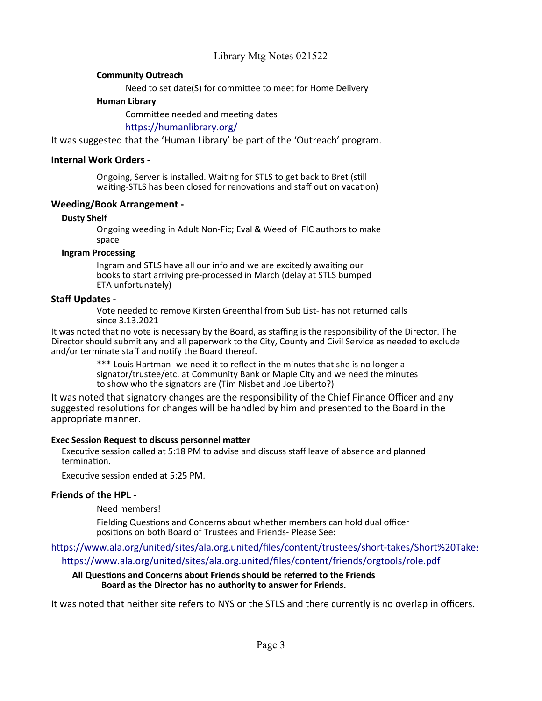## **Community Outreach**

Need to set date(S) for committee to meet for Home Delivery

## **Human Library**

Committee needed and meeting dates

<https://humanlibrary.org/>

It was suggested that the 'Human Library' be part of the 'Outreach' program.

## **Internal Work Orders -**

Ongoing, Server is installed. Waiting for STLS to get back to Bret (still waiting-STLS has been closed for renovations and staff out on vacation)

## **Weeding/Book Arrangement -**

## **Dusty Shelf**

Ongoing weeding in Adult Non-Fic; Eval & Weed of FIC authors to make space

## **Ingram Processing**

Ingram and STLS have all our info and we are excitedly awaiting our books to start arriving pre-processed in March (delay at STLS bumped ETA unfortunately)

# **Staff Updates -**

Vote needed to remove Kirsten Greenthal from Sub List- has not returned calls since 3.13.2021

It was noted that no vote is necessary by the Board, as staffing is the responsibility of the Director. The Director should submit any and all paperwork to the City, County and Civil Service as needed to exclude and/or terminate staff and notify the Board thereof.

> \*\*\* Louis Hartman- we need it to reflect in the minutes that she is no longer a signator/trustee/etc. at Community Bank or Maple City and we need the minutes to show who the signators are (Tim Nisbet and Joe Liberto?)

It was noted that signatory changes are the responsibility of the Chief Finance Officer and any suggested resolutions for changes will be handled by him and presented to the Board in the appropriate manner.

## **Exec Session Request to discuss personnel matter**

Executive session called at 5:18 PM to advise and discuss staff leave of absence and planned termination.

Executive session ended at 5:25 PM.

## **Friends of the HPL -**

Need members!

Fielding Questions and Concerns about whether members can hold dual officer positions on both Board of Trustees and Friends- Please See:

https://www.ala.org/united/sites/ala.org.united/files/content/trustees/short-takes/Short%20Takes <https://www.ala.org/united/sites/ala.org.united/files/content/friends/orgtools/role.pdf>

#### **All Questions and Concerns about Friends should be referred to the Friends Board as the Director has no authority to answer for Friends.**

It was noted that neither site refers to NYS or the STLS and there currently is no overlap in officers.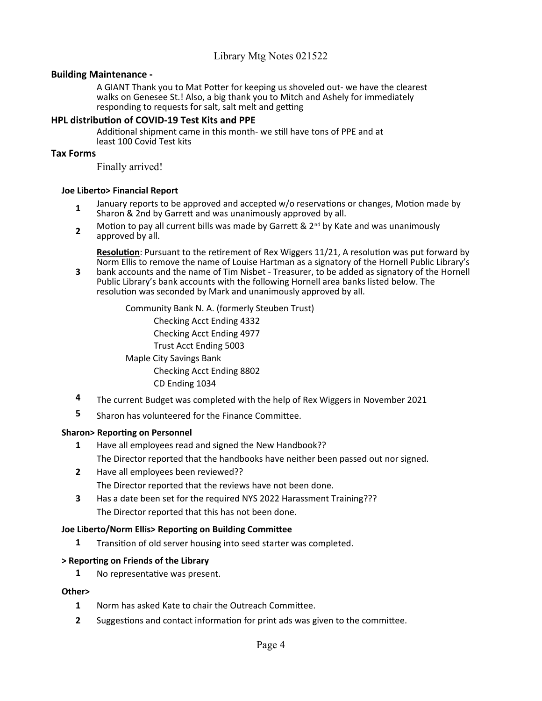## **Building Maintenance -**

A GIANT Thank you to Mat Potter for keeping us shoveled out- we have the clearest walks on Genesee St.! Also, a big thank you to Mitch and Ashely for immediately responding to requests for salt, salt melt and getting

## **HPL distribution of COVID-19 Test Kits and PPE**

Additional shipment came in this month- we still have tons of PPE and at least 100 Covid Test kits

## **Tax Forms**

Finally arrived!

## **Joe Liberto> Financial Report**

- **1** January reports to be approved and accepted w/o reservations or changes, Motion made by Sharon & 2nd by Garrett and was unanimously approved by all.
- **2** Motion to pay all current bills was made by Garrett &  $2^{nd}$  by Kate and was unanimously approved by all.

**Resolution**: Pursuant to the retirement of Rex Wiggers 11/21, A resolution was put forward by Norm Ellis to remove the name of Louise Hartman as a signatory of the Hornell Public Library's

**3** bank accounts and the name of Tim Nisbet - Treasurer, to be added as signatory of the Hornell Public Library's bank accounts with the following Hornell area banks listed below. The resolution was seconded by Mark and unanimously approved by all.

> Community Bank N. A. (formerly Steuben Trust) Checking Acct Ending 4332 Checking Acct Ending 4977 Trust Acct Ending 5003 Maple City Savings Bank Checking Acct Ending 8802 CD Ending 1034

- **4** The current Budget was completed with the help of Rex Wiggers in November 2021
- **5** Sharon has volunteered for the Finance Committee.

## **Sharon> Reporting on Personnel**

- **1** Have all employees read and signed the New Handbook?? The Director reported that the handbooks have neither been passed out nor signed.
- **2** Have all employees been reviewed?? The Director reported that the reviews have not been done.
- **3** Has a date been set for the required NYS 2022 Harassment Training??? The Director reported that this has not been done.

## **Joe Liberto/Norm Ellis> Reporting on Building Committee**

**1** Transition of old server housing into seed starter was completed.

## **> Reporting on Friends of the Library**

**1** No representative was present.

## **Other>**

- **1** Norm has asked Kate to chair the Outreach Committee.
- **2** Suggestions and contact information for print ads was given to the committee.